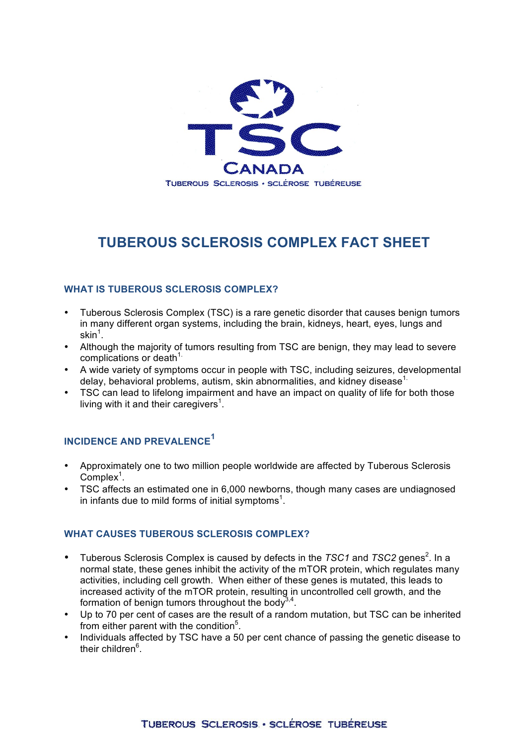

# **TUBEROUS SCLEROSIS COMPLEX FACT SHEET**

#### **WHAT IS TUBEROUS SCLEROSIS COMPLEX?**

- Tuberous Sclerosis Complex (TSC) is a rare genetic disorder that causes benign tumors in many different organ systems, including the brain, kidneys, heart, eyes, lungs and  $\textsf{skin}^1.$
- Although the majority of tumors resulting from TSC are benign, they may lead to severe complications or death $1$ .
- A wide variety of symptoms occur in people with TSC, including seizures, developmental delay, behavioral problems, autism, skin abnormalities, and kidney disease<sup>1.</sup>
- TSC can lead to lifelong impairment and have an impact on quality of life for both those living with it and their caregivers<sup>1</sup>.

## **INCIDENCE AND PREVALENCE<sup>1</sup>**

- Approximately one to two million people worldwide are affected by Tuberous Sclerosis  $Complex<sup>1</sup>$ .
- TSC affects an estimated one in 6,000 newborns, though many cases are undiagnosed in infants due to mild forms of initial symptoms<sup>1</sup>.

#### **WHAT CAUSES TUBEROUS SCLEROSIS COMPLEX?**

- Tuberous Sclerosis Complex is caused by defects in the *TSC1* and *TSC2* genes<sup>2</sup>. In a normal state, these genes inhibit the activity of the mTOR protein, which regulates many activities, including cell growth. When either of these genes is mutated, this leads to increased activity of the mTOR protein, resulting in uncontrolled cell growth, and the formation of benign tumors throughout the body<sup>3,4</sup>.
- Up to 70 per cent of cases are the result of a random mutation, but TSC can be inherited from either parent with the condition<sup>5</sup>.
- Individuals affected by TSC have a 50 per cent chance of passing the genetic disease to their children<sup>6</sup>.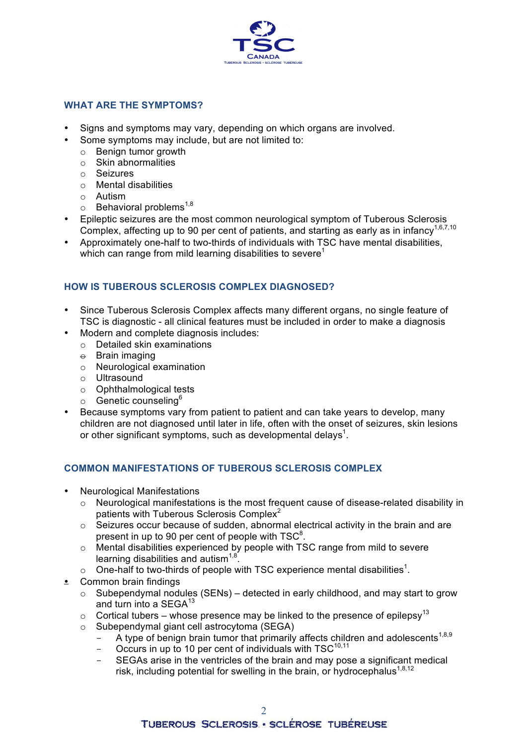

#### **WHAT ARE THE SYMPTOMS?**

- Signs and symptoms may vary, depending on which organs are involved.
- Some symptoms may include, but are not limited to:
	- o Benign tumor growth
	- o Skin abnormalities
	- o Seizures
	- o Mental disabilities
	- o Autism
	- $\circ$  Behavioral problems<sup>1,8</sup>
- Epileptic seizures are the most common neurological symptom of Tuberous Sclerosis Complex, affecting up to 90 per cent of patients, and starting as early as in infancy<sup>1,6,7,10</sup>
- Approximately one-half to two-thirds of individuals with TSC have mental disabilities, which can range from mild learning disabilities to severe<sup>1</sup>

### **HOW IS TUBEROUS SCLEROSIS COMPLEX DIAGNOSED?**

- Since Tuberous Sclerosis Complex affects many different organs, no single feature of TSC is diagnostic - all clinical features must be included in order to make a diagnosis
- Modern and complete diagnosis includes:
	- o Detailed skin examinations
	- $\div$  Brain imaging
	- o Neurological examination
	- o Ultrasound
	- o Ophthalmological tests
	- $\circ$  Genetic counseling<sup>6</sup>
- Because symptoms vary from patient to patient and can take years to develop, many children are not diagnosed until later in life, often with the onset of seizures, skin lesions or other significant symptoms, such as developmental delays<sup>1</sup>.

#### **COMMON MANIFESTATIONS OF TUBEROUS SCLEROSIS COMPLEX**

- Neurological Manifestations
	- o Neurological manifestations is the most frequent cause of disease-related disability in patients with Tuberous Sclerosis Complex<sup>2</sup>
	- o Seizures occur because of sudden, abnormal electrical activity in the brain and are present in up to 90 per cent of people with TSC $^{8}$ .
	- o Mental disabilities experienced by people with TSC range from mild to severe learning disabilities and autism $1.8$ .
	- $\circ$  One-half to two-thirds of people with TSC experience mental disabilities<sup>1</sup>.
- Common brain findings
	- o Subependymal nodules (SENs) detected in early childhood, and may start to grow and turn into a  $SEGA^{13}$
	- $\circ$  Cortical tubers whose presence may be linked to the presence of epilepsy<sup>13</sup>
	- o Subependymal giant cell astrocytoma (SEGA)
		- A type of benign brain tumor that primarily affects children and adolescents<sup>1,8,9</sup>
		- Occurs in up to 10 per cent of individuals with  $TSC^{10,11}$
		- SEGAs arise in the ventricles of the brain and may pose a significant medical risk, including potential for swelling in the brain, or hydrocephalus<sup>1,8,12</sup>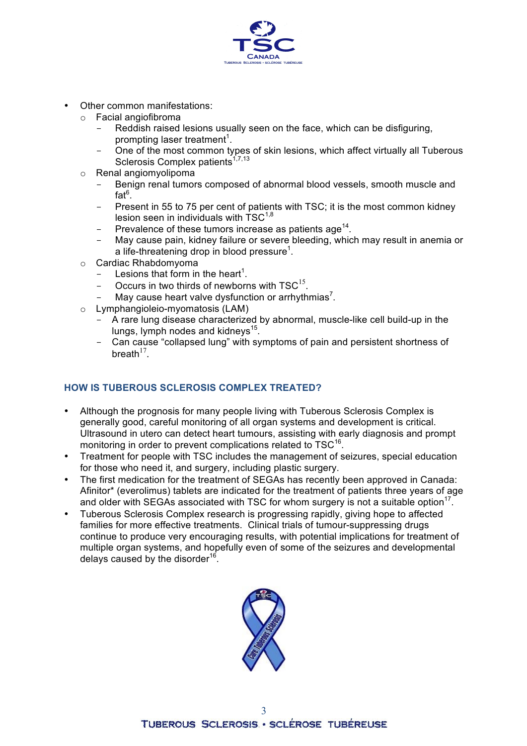

- Other common manifestations:
	- $\circ$  Facial angiofibroma
		- Reddish raised lesions usually seen on the face, which can be disfiguring, prompting laser treatment<sup>1</sup>.
		- One of the most common types of skin lesions, which affect virtually all Tuberous Sclerosis Complex patients $1,7,13$
	- o Renal angiomyolipoma
		- Benign renal tumors composed of abnormal blood vessels, smooth muscle and fat $^6$ .
		- Present in 55 to 75 per cent of patients with TSC; it is the most common kidney lesion seen in individuals with  $TSC^{1,8}$
		- Prevalence of these tumors increase as patients age<sup>14</sup>.
		- May cause pain, kidney failure or severe bleeding, which may result in anemia or a life-threatening drop in blood pressure<sup>1</sup>.
	- o Cardiac Rhabdomyoma
		- $-$  Lesions that form in the heart<sup>1</sup>.
		- Occurs in two thirds of newborns with  $TSC^{15}$ .
		- May cause heart valve dysfunction or arrhythmias<sup>7</sup>.
	- o Lymphangioleio-myomatosis (LAM)
		- A rare lung disease characterized by abnormal, muscle-like cell build-up in the lungs, lymph nodes and kidneys<sup>15</sup>.
		- Can cause "collapsed lung" with symptoms of pain and persistent shortness of breath $17$

#### **HOW IS TUBEROUS SCLEROSIS COMPLEX TREATED?**

- Although the prognosis for many people living with Tuberous Sclerosis Complex is generally good, careful monitoring of all organ systems and development is critical. Ultrasound in utero can detect heart tumours, assisting with early diagnosis and prompt monitoring in order to prevent complications related to TSC<sup>16</sup>.
- Treatment for people with TSC includes the management of seizures, special education for those who need it, and surgery, including plastic surgery.
- The first medication for the treatment of SEGAs has recently been approved in Canada: Afinitor\* (everolimus) tablets are indicated for the treatment of patients three years of age and older with SEGAs associated with TSC for whom surgery is not a suitable option<sup>17</sup>.
- Tuberous Sclerosis Complex research is progressing rapidly, giving hope to affected families for more effective treatments. Clinical trials of tumour-suppressing drugs continue to produce very encouraging results, with potential implications for treatment of multiple organ systems, and hopefully even of some of the seizures and developmental delays caused by the disorder<sup>16</sup>.